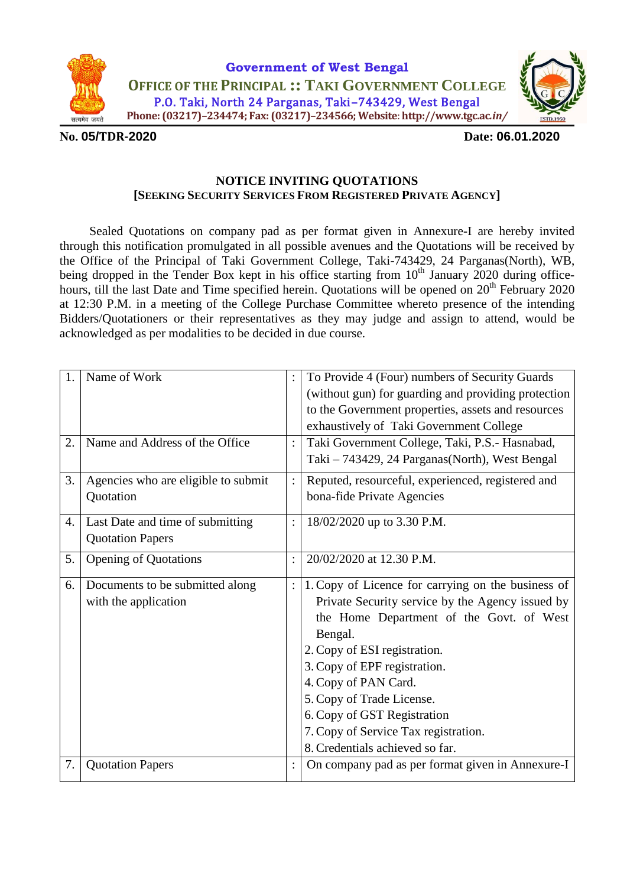



#### **No. 05/TDR-2020 Date: 06.01.2020**

#### **NOTICE INVITING QUOTATIONS [SEEKING SECURITY SERVICES FROM REGISTERED PRIVATE AGENCY]**

Sealed Quotations on company pad as per format given in Annexure-I are hereby invited through this notification promulgated in all possible avenues and the Quotations will be received by the Office of the Principal of Taki Government College, Taki-743429, 24 Parganas(North), WB, being dropped in the Tender Box kept in his office starting from 10<sup>th</sup> January 2020 during officehours, till the last Date and Time specified herein. Quotations will be opened on 20<sup>th</sup> February 2020 at 12:30 P.M. in a meeting of the College Purchase Committee whereto presence of the intending Bidders/Quotationers or their representatives as they may judge and assign to attend, would be acknowledged as per modalities to be decided in due course.

| 1.<br>2. | Name of Work<br>Name and Address of the Office              |                | To Provide 4 (Four) numbers of Security Guards<br>(without gun) for guarding and providing protection<br>to the Government properties, assets and resources<br>exhaustively of Taki Government College<br>Taki Government College, Taki, P.S.- Hasnabad,                                                                                                                                     |
|----------|-------------------------------------------------------------|----------------|----------------------------------------------------------------------------------------------------------------------------------------------------------------------------------------------------------------------------------------------------------------------------------------------------------------------------------------------------------------------------------------------|
|          |                                                             |                | Taki - 743429, 24 Parganas(North), West Bengal                                                                                                                                                                                                                                                                                                                                               |
| 3.       | Agencies who are eligible to submit<br>Quotation            | $\ddot{\cdot}$ | Reputed, resourceful, experienced, registered and<br>bona-fide Private Agencies                                                                                                                                                                                                                                                                                                              |
| 4.       | Last Date and time of submitting<br><b>Quotation Papers</b> |                | 18/02/2020 up to 3.30 P.M.                                                                                                                                                                                                                                                                                                                                                                   |
| 5.       | <b>Opening of Quotations</b>                                | $\ddot{\cdot}$ | 20/02/2020 at 12.30 P.M.                                                                                                                                                                                                                                                                                                                                                                     |
| 6.       | Documents to be submitted along<br>with the application     |                | 1. Copy of Licence for carrying on the business of<br>Private Security service by the Agency issued by<br>the Home Department of the Govt. of West<br>Bengal.<br>2. Copy of ESI registration.<br>3. Copy of EPF registration.<br>4. Copy of PAN Card.<br>5. Copy of Trade License.<br>6. Copy of GST Registration<br>7. Copy of Service Tax registration.<br>8. Credentials achieved so far. |
| 7.       | <b>Quotation Papers</b>                                     |                | On company pad as per format given in Annexure-I                                                                                                                                                                                                                                                                                                                                             |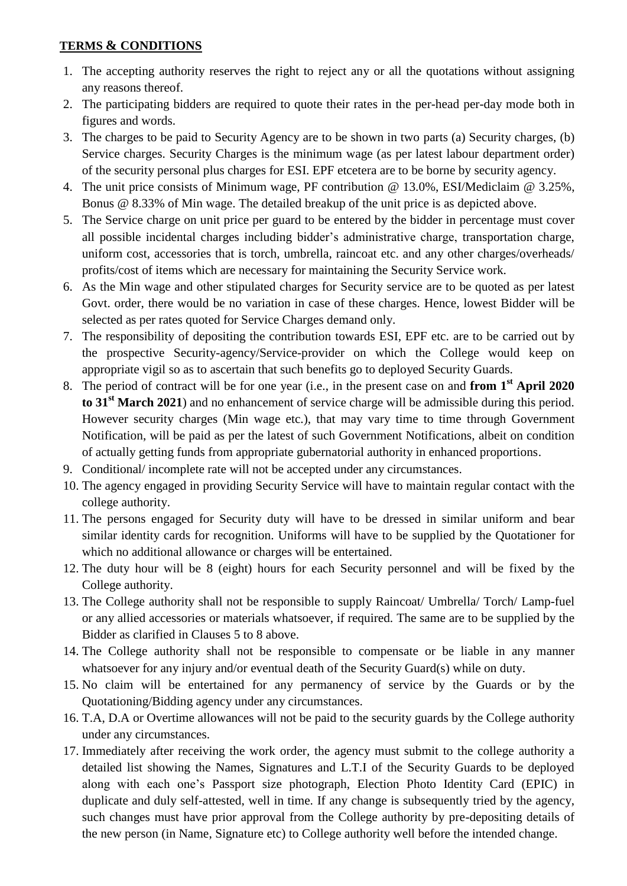#### **TERMS & CONDITIONS**

- 1. The accepting authority reserves the right to reject any or all the quotations without assigning any reasons thereof.
- 2. The participating bidders are required to quote their rates in the per-head per-day mode both in figures and words.
- 3. The charges to be paid to Security Agency are to be shown in two parts (a) Security charges, (b) Service charges. Security Charges is the minimum wage (as per latest labour department order) of the security personal plus charges for ESI. EPF etcetera are to be borne by security agency.
- 4. The unit price consists of Minimum wage, PF contribution @ 13.0%, ESI/Mediclaim @ 3.25%, Bonus @ 8.33% of Min wage. The detailed breakup of the unit price is as depicted above.
- 5. The Service charge on unit price per guard to be entered by the bidder in percentage must cover all possible incidental charges including bidder's administrative charge, transportation charge, uniform cost, accessories that is torch, umbrella, raincoat etc. and any other charges/overheads/ profits/cost of items which are necessary for maintaining the Security Service work.
- 6. As the Min wage and other stipulated charges for Security service are to be quoted as per latest Govt. order, there would be no variation in case of these charges. Hence, lowest Bidder will be selected as per rates quoted for Service Charges demand only.
- 7. The responsibility of depositing the contribution towards ESI, EPF etc. are to be carried out by the prospective Security-agency/Service-provider on which the College would keep on appropriate vigil so as to ascertain that such benefits go to deployed Security Guards.
- 8. The period of contract will be for one year (i.e., in the present case on and **from 1 st April 2020 to 31st March 2021**) and no enhancement of service charge will be admissible during this period. However security charges (Min wage etc.), that may vary time to time through Government Notification, will be paid as per the latest of such Government Notifications, albeit on condition of actually getting funds from appropriate gubernatorial authority in enhanced proportions.
- 9. Conditional/ incomplete rate will not be accepted under any circumstances.
- 10. The agency engaged in providing Security Service will have to maintain regular contact with the college authority.
- 11. The persons engaged for Security duty will have to be dressed in similar uniform and bear similar identity cards for recognition. Uniforms will have to be supplied by the Quotationer for which no additional allowance or charges will be entertained.
- 12. The duty hour will be 8 (eight) hours for each Security personnel and will be fixed by the College authority.
- 13. The College authority shall not be responsible to supply Raincoat/ Umbrella/ Torch/ Lamp-fuel or any allied accessories or materials whatsoever, if required. The same are to be supplied by the Bidder as clarified in Clauses 5 to 8 above.
- 14. The College authority shall not be responsible to compensate or be liable in any manner whatsoever for any injury and/or eventual death of the Security Guard(s) while on duty.
- 15. No claim will be entertained for any permanency of service by the Guards or by the Quotationing/Bidding agency under any circumstances.
- 16. T.A, D.A or Overtime allowances will not be paid to the security guards by the College authority under any circumstances.
- 17. Immediately after receiving the work order, the agency must submit to the college authority a detailed list showing the Names, Signatures and L.T.I of the Security Guards to be deployed along with each one's Passport size photograph, Election Photo Identity Card (EPIC) in duplicate and duly self-attested, well in time. If any change is subsequently tried by the agency, such changes must have prior approval from the College authority by pre-depositing details of the new person (in Name, Signature etc) to College authority well before the intended change.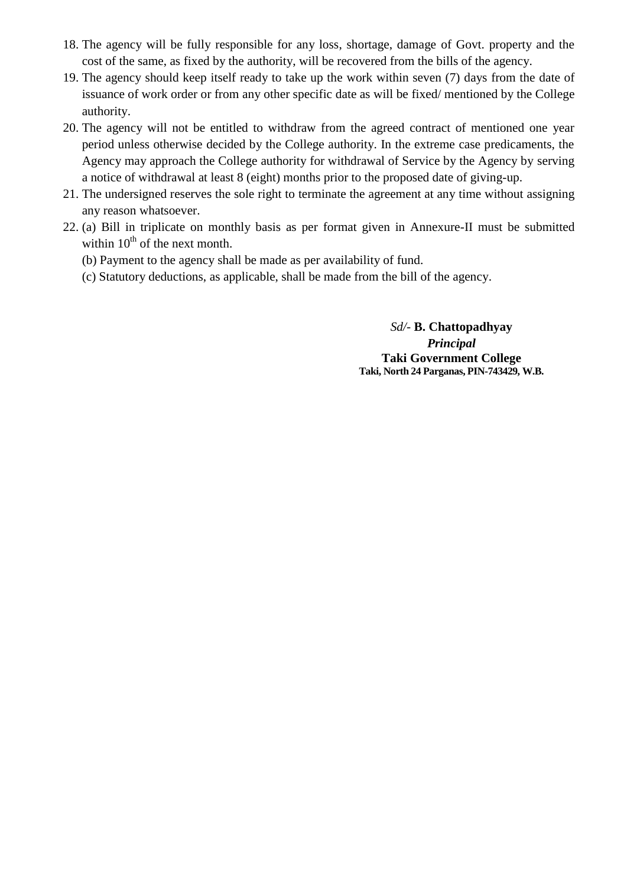- 18. The agency will be fully responsible for any loss, shortage, damage of Govt. property and the cost of the same, as fixed by the authority, will be recovered from the bills of the agency.
- 19. The agency should keep itself ready to take up the work within seven (7) days from the date of issuance of work order or from any other specific date as will be fixed/ mentioned by the College authority.
- 20. The agency will not be entitled to withdraw from the agreed contract of mentioned one year period unless otherwise decided by the College authority. In the extreme case predicaments, the Agency may approach the College authority for withdrawal of Service by the Agency by serving a notice of withdrawal at least 8 (eight) months prior to the proposed date of giving-up.
- 21. The undersigned reserves the sole right to terminate the agreement at any time without assigning any reason whatsoever.
- 22. (a) Bill in triplicate on monthly basis as per format given in Annexure-II must be submitted within  $10^{th}$  of the next month.
	- (b) Payment to the agency shall be made as per availability of fund.
	- (c) Statutory deductions, as applicable, shall be made from the bill of the agency.

*Sd/-* **B. Chattopadhyay** *Principal* **Taki Government College Taki, North 24 Parganas, PIN-743429, W.B.**